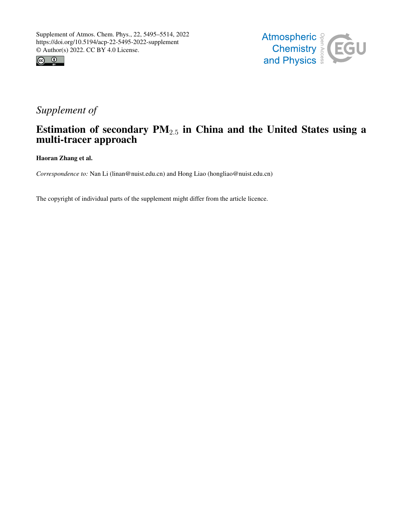



## *Supplement of*

## Estimation of secondary  $PM_{2.5}$  in China and the United States using a multi-tracer approach

Haoran Zhang et al.

*Correspondence to:* Nan Li (linan@nuist.edu.cn) and Hong Liao (hongliao@nuist.edu.cn)

The copyright of individual parts of the supplement might differ from the article licence.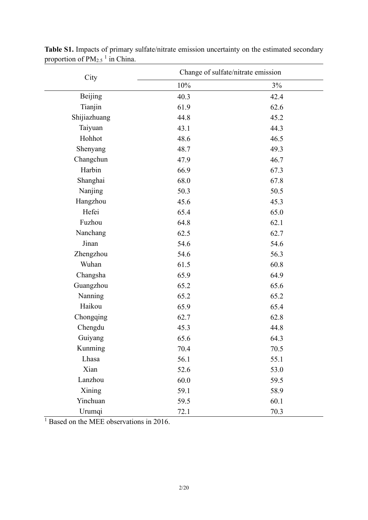| City         | Change of sulfate/nitrate emission |      |  |  |  |  |  |
|--------------|------------------------------------|------|--|--|--|--|--|
|              | 10%                                | 3%   |  |  |  |  |  |
| Beijing      | 40.3                               | 42.4 |  |  |  |  |  |
| Tianjin      | 61.9                               | 62.6 |  |  |  |  |  |
| Shijiazhuang | 44.8                               | 45.2 |  |  |  |  |  |
| Taiyuan      | 43.1                               | 44.3 |  |  |  |  |  |
| Hohhot       | 48.6                               | 46.5 |  |  |  |  |  |
| Shenyang     | 48.7                               | 49.3 |  |  |  |  |  |
| Changchun    | 47.9                               | 46.7 |  |  |  |  |  |
| Harbin       | 66.9                               | 67.3 |  |  |  |  |  |
| Shanghai     | 68.0                               | 67.8 |  |  |  |  |  |
| Nanjing      | 50.3                               | 50.5 |  |  |  |  |  |
| Hangzhou     | 45.6                               | 45.3 |  |  |  |  |  |
| Hefei        | 65.4                               | 65.0 |  |  |  |  |  |
| Fuzhou       | 64.8                               | 62.1 |  |  |  |  |  |
| Nanchang     | 62.5                               | 62.7 |  |  |  |  |  |
| Jinan        | 54.6                               | 54.6 |  |  |  |  |  |
| Zhengzhou    | 54.6                               | 56.3 |  |  |  |  |  |
| Wuhan        | 61.5                               | 60.8 |  |  |  |  |  |
| Changsha     | 65.9                               | 64.9 |  |  |  |  |  |
| Guangzhou    | 65.2                               | 65.6 |  |  |  |  |  |
| Nanning      | 65.2                               | 65.2 |  |  |  |  |  |
| Haikou       | 65.9                               | 65.4 |  |  |  |  |  |
| Chongqing    | 62.7                               | 62.8 |  |  |  |  |  |
| Chengdu      | 45.3                               | 44.8 |  |  |  |  |  |
| Guiyang      | 65.6                               | 64.3 |  |  |  |  |  |
| Kunming      | 70.4                               | 70.5 |  |  |  |  |  |
| Lhasa        | 56.1                               | 55.1 |  |  |  |  |  |
| Xian         | 52.6                               | 53.0 |  |  |  |  |  |
| Lanzhou      | 60.0                               | 59.5 |  |  |  |  |  |
| Xining       | 59.1                               | 58.9 |  |  |  |  |  |
| Yinchuan     | 59.5                               | 60.1 |  |  |  |  |  |
| Urumqi       | 72.1                               | 70.3 |  |  |  |  |  |

**Table S1.** Impacts of primary sulfate/nitrate emission uncertainty on the estimated secondary proportion of  $PM_{2.5}$ <sup>1</sup> in China.

 $\frac{1}{1}$  Based on the MEE observations in 2016.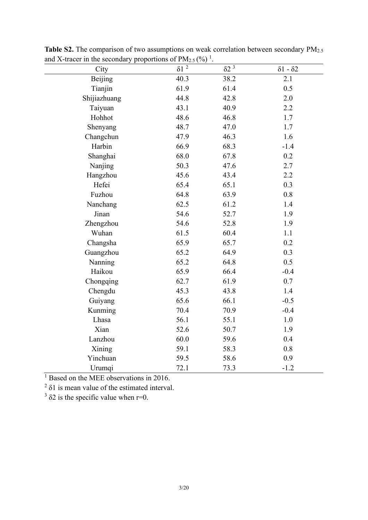| and A-tracer in the secondary proportions of FW2.5 (70) |                 |                         |                         |
|---------------------------------------------------------|-----------------|-------------------------|-------------------------|
| City                                                    | $\delta 1$ $^2$ | $\delta$ 2 <sup>3</sup> | $\delta$ 1 - $\delta$ 2 |
| Beijing                                                 | 40.3            | 38.2                    | 2.1                     |
| Tianjin                                                 | 61.9            | 61.4                    | 0.5                     |
| Shijiazhuang                                            | 44.8            | 42.8                    | 2.0                     |
| Taiyuan                                                 | 43.1            | 40.9                    | 2.2                     |
| Hohhot                                                  | 48.6            | 46.8                    | 1.7                     |
| Shenyang                                                | 48.7            | 47.0                    | 1.7                     |
| Changchun                                               | 47.9            | 46.3                    | 1.6                     |
| Harbin                                                  | 66.9            | 68.3                    | $-1.4$                  |
| Shanghai                                                | 68.0            | 67.8                    | 0.2                     |
| Nanjing                                                 | 50.3            | 47.6                    | 2.7                     |
| Hangzhou                                                | 45.6            | 43.4                    | 2.2                     |
| Hefei                                                   | 65.4            | 65.1                    | 0.3                     |
| Fuzhou                                                  | 64.8            | 63.9                    | 0.8                     |
| Nanchang                                                | 62.5            | 61.2                    | 1.4                     |
| Jinan                                                   | 54.6            | 52.7                    | 1.9                     |
| Zhengzhou                                               | 54.6            | 52.8                    | 1.9                     |
| Wuhan                                                   | 61.5            | 60.4                    | 1.1                     |
| Changsha                                                | 65.9            | 65.7                    | 0.2                     |
| Guangzhou                                               | 65.2            | 64.9                    | 0.3                     |
| Nanning                                                 | 65.2            | 64.8                    | 0.5                     |
| Haikou                                                  | 65.9            | 66.4                    | $-0.4$                  |
| Chongqing                                               | 62.7            | 61.9                    | 0.7                     |
| Chengdu                                                 | 45.3            | 43.8                    | 1.4                     |
| Guiyang                                                 | 65.6            | 66.1                    | $-0.5$                  |
| Kunming                                                 | 70.4            | 70.9                    | $-0.4$                  |
| Lhasa                                                   | 56.1            | 55.1                    | 1.0                     |
| Xian                                                    | 52.6            | 50.7                    | 1.9                     |
| Lanzhou                                                 | 60.0            | 59.6                    | 0.4                     |
| Xining                                                  | 59.1            | 58.3                    | 0.8                     |
| Yinchuan                                                | 59.5            | 58.6                    | 0.9                     |
| Urumqi                                                  | 72.1            | 73.3                    | $-1.2$                  |

**Table S2.** The comparison of two assumptions on weak correlation between secondary PM<sub>2.5</sub> and X-tracer in the secondary proportions of  $PM_{2.5}$  (%)<sup>1</sup>.

<sup>1</sup> Based on the MEE observations in 2016.

 $2$  δ1 is mean value of the estimated interval.

 $3$   $\delta$ 2 is the specific value when r=0.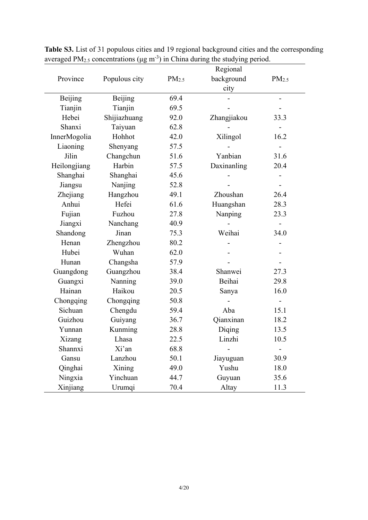|              |                |                   | Regional    |                   |
|--------------|----------------|-------------------|-------------|-------------------|
| Province     | Populous city  | PM <sub>2.5</sub> | background  | PM <sub>2.5</sub> |
|              |                |                   | city        |                   |
| Beijing      | <b>Beijing</b> | 69.4              |             |                   |
| Tianjin      | Tianjin        | 69.5              |             |                   |
| Hebei        | Shijiazhuang   | 92.0              | Zhangjiakou | 33.3              |
| Shanxi       | Taiyuan        | 62.8              |             |                   |
| InnerMogolia | Hohhot         | 42.0              | Xilingol    | 16.2              |
| Liaoning     | Shenyang       | 57.5              |             |                   |
| Jilin        | Changchun      | 51.6              | Yanbian     | 31.6              |
| Heilongjiang | Harbin         | 57.5              | Daxinanling | 20.4              |
| Shanghai     | Shanghai       | 45.6              |             |                   |
| Jiangsu      | Nanjing        | 52.8              |             |                   |
| Zhejiang     | Hangzhou       | 49.1              | Zhoushan    | 26.4              |
| Anhui        | Hefei          | 61.6              | Huangshan   | 28.3              |
| Fujian       | Fuzhou         | 27.8              | Nanping     | 23.3              |
| Jiangxi      | Nanchang       | 40.9              |             |                   |
| Shandong     | Jinan          | 75.3              | Weihai      | 34.0              |
| Henan        | Zhengzhou      | 80.2              |             |                   |
| Hubei        | Wuhan          | 62.0              |             |                   |
| Hunan        | Changsha       | 57.9              |             |                   |
| Guangdong    | Guangzhou      | 38.4              | Shanwei     | 27.3              |
| Guangxi      | Nanning        | 39.0              | Beihai      | 29.8              |
| Hainan       | Haikou         | 20.5              | Sanya       | 16.0              |
| Chongqing    | Chongqing      | 50.8              |             |                   |
| Sichuan      | Chengdu        | 59.4              | Aba         | 15.1              |
| Guizhou      | Guiyang        | 36.7              | Qianxinan   | 18.2              |
| Yunnan       | Kunming        | 28.8              | Diqing      | 13.5              |
| Xizang       | Lhasa          | 22.5              | Linzhi      | 10.5              |
| Shannxi      | Xi'an          | 68.8              |             |                   |
| Gansu        | Lanzhou        | 50.1              | Jiayuguan   | 30.9              |
| Qinghai      | Xining         | 49.0              | Yushu       | 18.0              |
| Ningxia      | Yinchuan       | 44.7              | Guyuan      | 35.6              |
| Xinjiang     | Urumqi         | 70.4              | Altay       | 11.3              |

**Table S3.** List of 31 populous cities and 19 regional background cities and the corresponding averaged  $PM_{2.5}$  concentrations ( $\mu$ g m<sup>-3</sup>) in China during the studying period.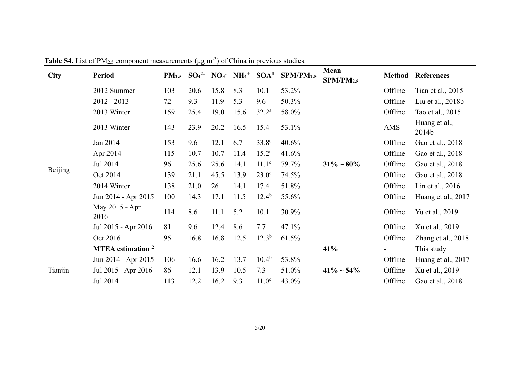| <b>City</b> | <b>Period</b>                       | PM <sub>2.5</sub> | SO <sub>4</sub> <sup>2</sup> |      | $NO3$ $NH4$ <sup>+</sup> | SOA <sup>1</sup>  | SPM/PM <sub>2.5</sub> | Mean<br>SPM/PM2.5 | <b>Method</b> | <b>References</b>      |
|-------------|-------------------------------------|-------------------|------------------------------|------|--------------------------|-------------------|-----------------------|-------------------|---------------|------------------------|
|             | 2012 Summer                         | 103               | 20.6                         | 15.8 | 8.3                      | 10.1              | 53.2%                 |                   | Offline       | Tian et al., 2015      |
|             | $2012 - 2013$                       | 72                | 9.3                          | 11.9 | 5.3                      | 9.6               | 50.3%                 |                   | Offline       | Liu et al., 2018b      |
|             | 2013 Winter                         | 159               | 25.4                         | 19.0 | 15.6                     | $32.2^{\rm a}$    | 58.0%                 |                   | Offline       | Tao et al., 2015       |
|             | 2013 Winter                         | 143               | 23.9                         | 20.2 | 16.5                     | 15.4              | 53.1%                 |                   | AMS           | Huang et al.,<br>2014b |
|             | Jan 2014                            | 153               | 9.6                          | 12.1 | 6.7                      | $33.8^\circ$      | 40.6%                 |                   | Offline       | Gao et al., 2018       |
|             | Apr 2014                            | 115               | 10.7                         | 10.7 | 11.4                     | $15.2^{\circ}$    | 41.6%                 |                   | Offline       | Gao et al., 2018       |
|             | Jul 2014                            | 96                | 25.6                         | 25.6 | 14.1                     | $11.1^\circ$      | 79.7%                 | $31\% \sim 80\%$  | Offline       | Gao et al., 2018       |
| Beijing     | Oct 2014                            | 139               | 21.1                         | 45.5 | 13.9                     | $23.0^\circ$      | 74.5%                 |                   | Offline       | Gao et al., 2018       |
|             | 2014 Winter                         | 138               | 21.0                         | 26   | 14.1                     | 17.4              | 51.8%                 |                   | Offline       | Lin et al., $2016$     |
|             | Jun 2014 - Apr 2015                 | 100               | 14.3                         | 17.1 | 11.5                     | $12.4^{b}$        | 55.6%                 |                   | Offline       | Huang et al., 2017     |
|             | May 2015 - Apr<br>2016              | 114               | 8.6                          | 11.1 | 5.2                      | 10.1              | 30.9%                 |                   | Offline       | Yu et al., 2019        |
|             | Jul 2015 - Apr 2016                 | 81                | 9.6                          | 12.4 | 8.6                      | 7.7               | 47.1%                 |                   | Offline       | Xu et al., 2019        |
|             | Oct 2016                            | 95                | 16.8                         | 16.8 | 12.5                     | $12.3^{b}$        | 61.5%                 |                   | Offline       | Zhang et al., 2018     |
|             | <b>MTEA</b> estimation <sup>2</sup> |                   |                              |      |                          |                   |                       | 41%               |               | This study             |
|             | Jun 2014 - Apr 2015                 | 106               | 16.6                         | 16.2 | 13.7                     | $10.4^{b}$        | 53.8%                 |                   | Offline       | Huang et al., 2017     |
| Tianjin     | Jul 2015 - Apr 2016                 | 86                | 12.1                         | 13.9 | 10.5                     | 7.3               | 51.0%                 | $41\% \sim 54\%$  | Offline       | Xu et al., 2019        |
|             | Jul 2014                            | 113               | 12.2                         | 16.2 | 9.3                      | 11.0 <sup>c</sup> | 43.0%                 |                   | Offline       | Gao et al., 2018       |

<span id="page-4-0"></span>**Table S4.** List of PM<sub>2.5</sub> component measurements ( $\mu$ g m<sup>-3</sup>) of China in previous studies.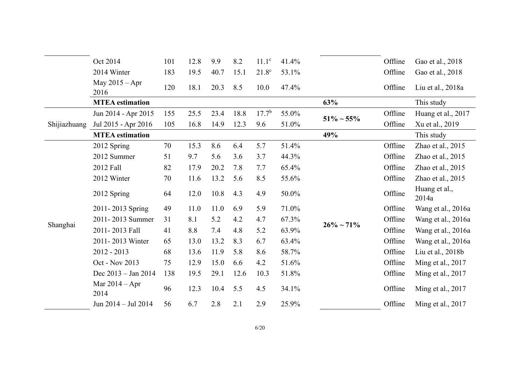|              | Oct 2014                 | 101 | 12.8 | 9.9  | 8.2  | $11.1^\circ$      | 41.4% |                  | Offline | Gao et al., 2018       |
|--------------|--------------------------|-----|------|------|------|-------------------|-------|------------------|---------|------------------------|
|              | 2014 Winter              | 183 | 19.5 | 40.7 | 15.1 | $21.8^\circ$      | 53.1% |                  | Offline | Gao et al., 2018       |
|              | May $2015 - Apr$<br>2016 | 120 | 18.1 | 20.3 | 8.5  | 10.0              | 47.4% |                  | Offline | Liu et al., 2018a      |
|              | <b>MTEA</b> estimation   |     |      |      |      |                   |       | 63%              |         | This study             |
|              | Jun 2014 - Apr 2015      | 155 | 25.5 | 23.4 | 18.8 | 17.7 <sup>b</sup> | 55.0% |                  | Offline | Huang et al., 2017     |
| Shijiazhuang | Jul 2015 - Apr 2016      | 105 | 16.8 | 14.9 | 12.3 | 9.6               | 51.0% | $51\% \sim 55\%$ | Offline | Xu et al., 2019        |
|              | <b>MTEA</b> estimation   |     |      |      |      |                   |       | 49%              |         | This study             |
|              | 2012 Spring              | 70  | 15.3 | 8.6  | 6.4  | 5.7               | 51.4% |                  | Offline | Zhao et al., 2015      |
|              | 2012 Summer              | 51  | 9.7  | 5.6  | 3.6  | 3.7               | 44.3% |                  | Offline | Zhao et al., 2015      |
|              | 2012 Fall                | 82  | 17.9 | 20.2 | 7.8  | 7.7               | 65.4% |                  | Offline | Zhao et al., $2015$    |
|              | 2012 Winter              | 70  | 11.6 | 13.2 | 5.6  | 8.5               | 55.6% |                  | Offline | Zhao et al., 2015      |
|              | 2012 Spring              | 64  | 12.0 | 10.8 | 4.3  | 4.9               | 50.0% |                  | Offline | Huang et al.,<br>2014a |
|              | 2011-2013 Spring         | 49  | 11.0 | 11.0 | 6.9  | 5.9               | 71.0% |                  | Offline | Wang et al., 2016a     |
|              | 2011-2013 Summer         | 31  | 8.1  | 5.2  | 4.2  | 4.7               | 67.3% | $26\% \sim 71\%$ | Offline | Wang et al., 2016a     |
| Shanghai     | 2011-2013 Fall           | 41  | 8.8  | 7.4  | 4.8  | 5.2               | 63.9% |                  | Offline | Wang et al., 2016a     |
|              | 2011-2013 Winter         | 65  | 13.0 | 13.2 | 8.3  | 6.7               | 63.4% |                  | Offline | Wang et al., 2016a     |
|              | $2012 - 2013$            | 68  | 13.6 | 11.9 | 5.8  | 8.6               | 58.7% |                  | Offline | Liu et al., 2018b      |
|              | Oct - Nov 2013           | 75  | 12.9 | 15.0 | 6.6  | 4.2               | 51.6% |                  | Offline | Ming et al., 2017      |
|              | Dec $2013 - Jan 2014$    | 138 | 19.5 | 29.1 | 12.6 | 10.3              | 51.8% |                  | Offline | Ming et al., $2017$    |
|              | Mar $2014 - Apr$<br>2014 | 96  | 12.3 | 10.4 | 5.5  | 4.5               | 34.1% |                  | Offline | Ming et al., 2017      |
|              | Jun 2014 - Jul 2014      | 56  | 6.7  | 2.8  | 2.1  | 2.9               | 25.9% |                  | Offline | Ming et al., 2017      |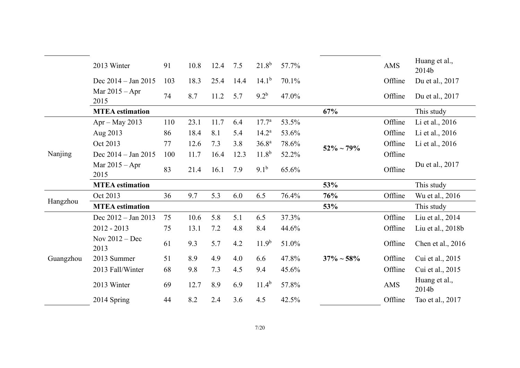|           | 2013 Winter              | 91  | 10.8 | 12.4 | 7.5  | $21.8^{b}$        | 57.7% |                  | <b>AMS</b> | Huang et al.,<br>2014b |
|-----------|--------------------------|-----|------|------|------|-------------------|-------|------------------|------------|------------------------|
|           | Dec $2014 - Jan 2015$    | 103 | 18.3 | 25.4 | 14.4 | $14.1^{b}$        | 70.1% |                  | Offline    | Du et al., 2017        |
|           | Mar $2015 - Apr$<br>2015 | 74  | 8.7  | 11.2 | 5.7  | $9.2^{b}$         | 47.0% |                  | Offline    | Du et al., 2017        |
|           | <b>MTEA</b> estimation   |     |      |      |      |                   |       | 67%              |            | This study             |
|           | $Apr - May 2013$         | 110 | 23.1 | 11.7 | 6.4  | $17.7^{\rm a}$    | 53.5% |                  | Offline    | Li et al., 2016        |
|           | Aug 2013                 | 86  | 18.4 | 8.1  | 5.4  | $14.2^{\rm a}$    | 53.6% |                  | Offline    | Li et al., 2016        |
|           | Oct 2013                 | 77  | 12.6 | 7.3  | 3.8  | 36.8 <sup>a</sup> | 78.6% | $52\% \sim 79\%$ | Offline    | Li et al., 2016        |
| Nanjing   | Dec $2014 - Jan 2015$    | 100 | 11.7 | 16.4 | 12.3 | $11.8^{b}$        | 52.2% |                  | Offline    |                        |
|           | Mar $2015 - Apr$<br>2015 | 83  | 21.4 | 16.1 | 7.9  | $9.1^{b}$         | 65.6% |                  | Offline    | Du et al., 2017        |
|           | <b>MTEA</b> estimation   |     |      |      |      |                   |       | 53%              |            | This study             |
|           | Oct 2013                 | 36  | 9.7  | 5.3  | 6.0  | 6.5               | 76.4% | 76%              | Offline    | Wu et al., 2016        |
| Hangzhou  | <b>MTEA</b> estimation   |     |      |      |      |                   |       | 53%              |            | This study             |
|           | Dec $2012 - Jan 2013$    | 75  | 10.6 | 5.8  | 5.1  | 6.5               | 37.3% |                  | Offline    | Liu et al., 2014       |
|           | $2012 - 2013$            | 75  | 13.1 | 7.2  | 4.8  | 8.4               | 44.6% |                  | Offline    | Liu et al., 2018b      |
|           | Nov $2012 - Dec$<br>2013 | 61  | 9.3  | 5.7  | 4.2  | 11.9 <sup>b</sup> | 51.0% |                  | Offline    | Chen et al., 2016      |
| Guangzhou | 2013 Summer              | 51  | 8.9  | 4.9  | 4.0  | 6.6               | 47.8% | $37\% \sim 58\%$ | Offline    | Cui et al., 2015       |
|           | 2013 Fall/Winter         | 68  | 9.8  | 7.3  | 4.5  | 9.4               | 45.6% |                  | Offline    | Cui et al., 2015       |
|           | 2013 Winter              | 69  | 12.7 | 8.9  | 6.9  | $11.4^{b}$        | 57.8% |                  | AMS        | Huang et al.,<br>2014b |
|           | 2014 Spring              | 44  | 8.2  | 2.4  | 3.6  | 4.5               | 42.5% |                  | Offline    | Tao et al., 2017       |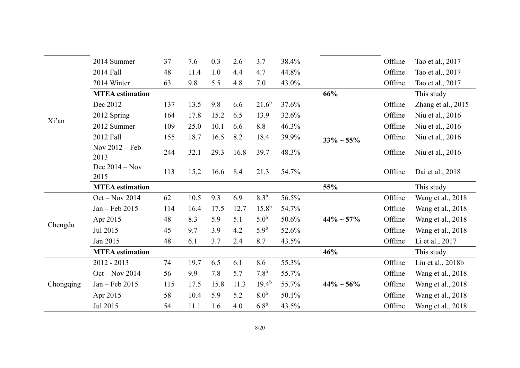|           | 2014 Summer              | 37  | 7.6  | 0.3  | 2.6  | 3.7              | 38.4% |                  | Offline | Tao et al., 2017   |
|-----------|--------------------------|-----|------|------|------|------------------|-------|------------------|---------|--------------------|
|           | 2014 Fall                | 48  | 11.4 | 1.0  | 4.4  | 4.7              | 44.8% |                  | Offline | Tao et al., 2017   |
|           | 2014 Winter              | 63  | 9.8  | 5.5  | 4.8  | 7.0              | 43.0% |                  | Offline | Tao et al., 2017   |
|           | <b>MTEA</b> estimation   |     |      |      |      |                  |       | 66%              |         | This study         |
|           | Dec 2012                 | 137 | 13.5 | 9.8  | 6.6  | $21.6^{b}$       | 37.6% |                  | Offline | Zhang et al., 2015 |
|           | 2012 Spring              | 164 | 17.8 | 15.2 | 6.5  | 13.9             | 32.6% |                  | Offline | Niu et al., 2016   |
| Xi'an     | 2012 Summer              | 109 | 25.0 | 10.1 | 6.6  | 8.8              | 46.3% |                  | Offline | Niu et al., 2016   |
|           | 2012 Fall                | 155 | 18.7 | 16.5 | 8.2  | 18.4             | 39.9% | $33\% \sim 55\%$ | Offline | Niu et al., 2016   |
|           | Nov 2012 - Feb<br>2013   | 244 | 32.1 | 29.3 | 16.8 | 39.7             | 48.3% |                  | Offline | Niu et al., 2016   |
|           | Dec $2014 - Nov$<br>2015 | 113 | 15.2 | 16.6 | 8.4  | 21.3             | 54.7% |                  | Offline | Dai et al., 2018   |
|           | <b>MTEA</b> estimation   |     |      |      |      |                  |       | 55%              |         | This study         |
|           | $Oct - Nov 2014$         | 62  | 10.5 | 9.3  | 6.9  | 8.3 <sup>b</sup> | 56.5% |                  | Offline | Wang et al., 2018  |
|           | Jan - Feb 2015           | 114 | 16.4 | 17.5 | 12.7 | $15.8^{b}$       | 54.7% |                  | Offline | Wang et al., 2018  |
|           | Apr 2015                 | 48  | 8.3  | 5.9  | 5.1  | 5.0 <sup>b</sup> | 50.6% | $44\% \sim 57\%$ | Offline | Wang et al., 2018  |
| Chengdu   | Jul 2015                 | 45  | 9.7  | 3.9  | 4.2  | $5.9^b$          | 52.6% |                  | Offline | Wang et al., 2018  |
|           | Jan 2015                 | 48  | 6.1  | 3.7  | 2.4  | 8.7              | 43.5% |                  | Offline | Li et al., 2017    |
|           | <b>MTEA</b> estimation   |     |      |      |      |                  |       | 46%              |         | This study         |
|           | $2012 - 2013$            | 74  | 19.7 | 6.5  | 6.1  | 8.6              | 55.3% |                  | Offline | Liu et al., 2018b  |
|           | $Oct - Nov 2014$         | 56  | 9.9  | 7.8  | 5.7  | $7.8^{b}$        | 55.7% |                  | Offline | Wang et al., 2018  |
| Chongqing | Jan - Feb 2015           | 115 | 17.5 | 15.8 | 11.3 | $19.4^{b}$       | 55.7% | $44\% \sim 56\%$ | Offline | Wang et al., 2018  |
|           | Apr 2015                 | 58  | 10.4 | 5.9  | 5.2  | 8.0 <sup>b</sup> | 50.1% |                  | Offline | Wang et al., 2018  |
|           | Jul 2015                 | 54  | 11.1 | 1.6  | 4.0  | 6.8 <sup>b</sup> | 43.5% |                  | Offline | Wang et al., 2018  |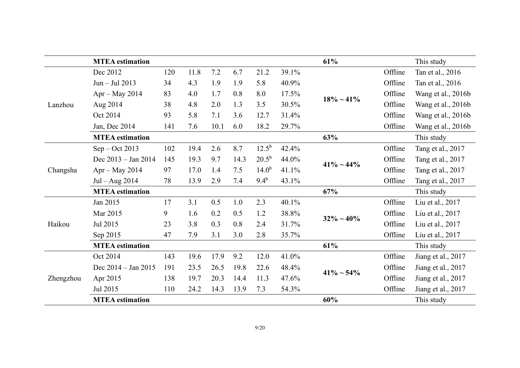|           | <b>MTEA</b> estimation |     |      |      |      |            |       | 61%              |         | This study         |
|-----------|------------------------|-----|------|------|------|------------|-------|------------------|---------|--------------------|
|           | Dec 2012               | 120 | 11.8 | 7.2  | 6.7  | 21.2       | 39.1% |                  | Offline | Tan et al., 2016   |
|           | Jun - Jul 2013         | 34  | 4.3  | 1.9  | 1.9  | 5.8        | 40.9% |                  | Offline | Tan et al., 2016   |
|           | $Apr - May 2014$       | 83  | 4.0  | 1.7  | 0.8  | 8.0        | 17.5% | $18\% \sim 41\%$ | Offline | Wang et al., 2016b |
| Lanzhou   | Aug 2014               | 38  | 4.8  | 2.0  | 1.3  | 3.5        | 30.5% |                  | Offline | Wang et al., 2016b |
|           | Oct 2014               | 93  | 5.8  | 7.1  | 3.6  | 12.7       | 31.4% |                  | Offline | Wang et al., 2016b |
|           | Jan, Dec 2014          | 141 | 7.6  | 10.1 | 6.0  | 18.2       | 29.7% |                  | Offline | Wang et al., 2016b |
|           | <b>MTEA</b> estimation |     |      |      |      |            |       | 63%              |         | This study         |
|           | $Sep - Oct 2013$       | 102 | 19.4 | 2.6  | 8.7  | $12.5^{b}$ | 42.4% |                  | Offline | Tang et al., 2017  |
|           | Dec 2013 - Jan 2014    | 145 | 19.3 | 9.7  | 14.3 | $20.5^{b}$ | 44.0% | $41\% \sim 44\%$ | Offline | Tang et al., 2017  |
| Changsha  | $Apr - May 2014$       | 97  | 17.0 | 1.4  | 7.5  | $14.0^{b}$ | 41.1% |                  | Offline | Tang et al., 2017  |
|           | Jul $-$ Aug 2014       | 78  | 13.9 | 2.9  | 7.4  | $9.4^{b}$  | 43.1% |                  | Offline | Tang et al., 2017  |
|           | <b>MTEA</b> estimation |     |      |      |      |            |       | 67%              |         | This study         |
|           | Jan 2015               | 17  | 3.1  | 0.5  | 1.0  | 2.3        | 40.1% |                  | Offline | Liu et al., 2017   |
|           | Mar 2015               | 9   | 1.6  | 0.2  | 0.5  | 1.2        | 38.8% | $32\% \sim 40\%$ | Offline | Liu et al., 2017   |
| Haikou    | Jul 2015               | 23  | 3.8  | 0.3  | 0.8  | 2.4        | 31.7% |                  | Offline | Liu et al., 2017   |
|           | Sep 2015               | 47  | 7.9  | 3.1  | 3.0  | 2.8        | 35.7% |                  | Offline | Liu et al., 2017   |
|           | <b>MTEA</b> estimation |     |      |      |      |            |       | 61%              |         | This study         |
|           | Oct 2014               | 143 | 19.6 | 17.9 | 9.2  | 12.0       | 41.0% |                  | Offline | Jiang et al., 2017 |
|           | Dec 2014 – Jan 2015    | 191 | 23.5 | 26.5 | 19.8 | 22.6       | 48.4% | $41\% \sim 54\%$ | Offline | Jiang et al., 2017 |
| Zhengzhou | Apr 2015               | 138 | 19.7 | 20.3 | 14.4 | 11.3       | 47.6% |                  | Offline | Jiang et al., 2017 |
|           | Jul 2015               | 110 | 24.2 | 14.3 | 13.9 | 7.3        | 54.3% |                  | Offline | Jiang et al., 2017 |
|           | <b>MTEA</b> estimation |     |      |      |      |            |       | 60%              |         | This study         |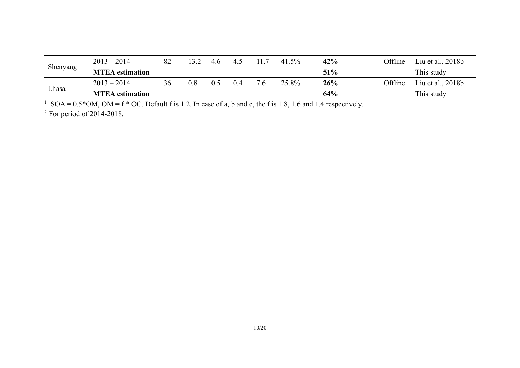|          | $2013 - 2014$          | 82 | 13 フ | 4.6 | 4.  |                | 41.5% | 42% | Offline | Liu et al., 2018b |
|----------|------------------------|----|------|-----|-----|----------------|-------|-----|---------|-------------------|
| Shenyang | <b>MTEA</b> estimation |    |      |     |     |                |       | 51% |         | This study        |
|          | $2013 - 2014$          | 36 | 0.8  |     | 0.4 | $^{\prime}$ .6 | 25.8% | 26% | Offline | Liu et al., 2018b |
| Lhasa    | <b>MTEA</b> estimation |    |      |     |     |                |       | 64% |         | This study        |

<sup>1</sup> SOA =  $0.5*$ OM, OM = f  $*$  OC. Default f is 1.2. In case of a, b and c, the f is 1.8, 1.6 and 1.4 respectively.

 $2$  For period of 2014-2018.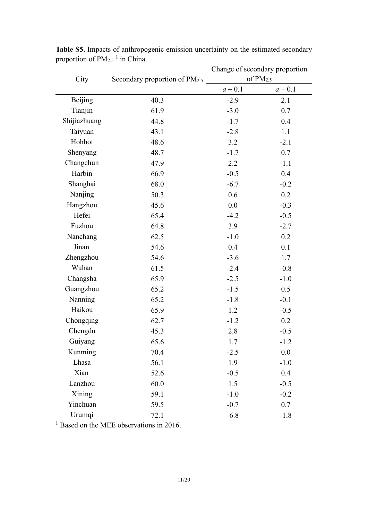|              |                                           | Change of secondary proportion |            |  |  |  |
|--------------|-------------------------------------------|--------------------------------|------------|--|--|--|
| City         | Secondary proportion of PM <sub>2.5</sub> |                                | of $PM2.5$ |  |  |  |
|              |                                           | $a - 0.1$                      | $a + 0.1$  |  |  |  |
| Beijing      | 40.3                                      | $-2.9$                         | 2.1        |  |  |  |
| Tianjin      | 61.9                                      | $-3.0$                         | 0.7        |  |  |  |
| Shijiazhuang | 44.8                                      | $-1.7$                         | 0.4        |  |  |  |
| Taiyuan      | 43.1                                      | $-2.8$                         | 1.1        |  |  |  |
| Hohhot       | 48.6                                      | 3.2                            | $-2.1$     |  |  |  |
| Shenyang     | 48.7                                      | $-1.7$                         | 0.7        |  |  |  |
| Changchun    | 47.9                                      | 2.2                            | $-1.1$     |  |  |  |
| Harbin       | 66.9                                      | $-0.5$                         | 0.4        |  |  |  |
| Shanghai     | 68.0                                      | $-6.7$                         | $-0.2$     |  |  |  |
| Nanjing      | 50.3                                      | 0.6                            | 0.2        |  |  |  |
| Hangzhou     | 45.6                                      | 0.0                            | $-0.3$     |  |  |  |
| Hefei        | 65.4                                      | $-4.2$                         | $-0.5$     |  |  |  |
| Fuzhou       | 64.8                                      | 3.9                            | $-2.7$     |  |  |  |
| Nanchang     | 62.5                                      | $-1.0$                         | 0.2        |  |  |  |
| Jinan        | 54.6                                      | 0.4                            | 0.1        |  |  |  |
| Zhengzhou    | 54.6                                      | $-3.6$                         | 1.7        |  |  |  |
| Wuhan        | 61.5                                      | $-2.4$                         | $-0.8$     |  |  |  |
| Changsha     | 65.9                                      | $-2.5$                         | $-1.0$     |  |  |  |
| Guangzhou    | 65.2                                      | $-1.5$                         | 0.5        |  |  |  |
| Nanning      | 65.2                                      | $-1.8$                         | $-0.1$     |  |  |  |
| Haikou       | 65.9                                      | 1.2                            | $-0.5$     |  |  |  |
| Chongqing    | 62.7                                      | $-1.2$                         | 0.2        |  |  |  |
| Chengdu      | 45.3                                      | 2.8                            | $-0.5$     |  |  |  |
| Guiyang      | 65.6                                      | 1.7                            | $-1.2$     |  |  |  |
| Kunming      | 70.4                                      | $-2.5$                         | 0.0        |  |  |  |
| Lhasa        | 56.1                                      | 1.9                            | $-1.0$     |  |  |  |
| Xian         | 52.6                                      | $-0.5$                         | 0.4        |  |  |  |
| Lanzhou      | 60.0                                      | 1.5                            | $-0.5$     |  |  |  |
| Xining       | 59.1                                      | $-1.0$                         | $-0.2$     |  |  |  |
| Yinchuan     | 59.5                                      | $-0.7$                         | 0.7        |  |  |  |
| Urumqi       | 72.1                                      | $-6.8$                         | $-1.8$     |  |  |  |

**Table S5.** Impacts of anthropogenic emission uncertainty on the estimated secondary proportion of  $PM_{2.5}$ <sup>1</sup> in China.

<sup>1</sup> Based on the MEE observations in 2016.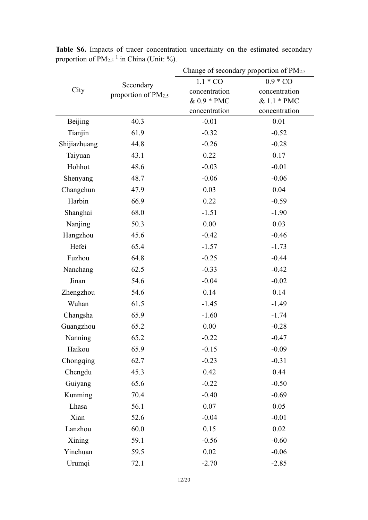|              |                                 | Change of secondary proportion of PM2.5 |               |  |  |  |  |
|--------------|---------------------------------|-----------------------------------------|---------------|--|--|--|--|
|              | Secondary                       | $1.1 * CO$                              | $0.9 * CO$    |  |  |  |  |
| City         | proportion of PM <sub>2.5</sub> | concentration                           | concentration |  |  |  |  |
|              |                                 | & 0.9 * PMC                             | & 1.1 * PMC   |  |  |  |  |
|              |                                 | concentration                           | concentration |  |  |  |  |
| Beijing      | 40.3                            | $-0.01$                                 | 0.01          |  |  |  |  |
| Tianjin      | 61.9                            | $-0.32$                                 | $-0.52$       |  |  |  |  |
| Shijiazhuang | 44.8                            | $-0.26$                                 | $-0.28$       |  |  |  |  |
| Taiyuan      | 43.1                            | 0.22                                    | 0.17          |  |  |  |  |
| Hohhot       | 48.6                            | $-0.03$                                 | $-0.01$       |  |  |  |  |
| Shenyang     | 48.7                            | $-0.06$                                 | $-0.06$       |  |  |  |  |
| Changchun    | 47.9                            | 0.03                                    | 0.04          |  |  |  |  |
| Harbin       | 66.9                            | 0.22                                    | $-0.59$       |  |  |  |  |
| Shanghai     | 68.0                            | $-1.51$                                 | $-1.90$       |  |  |  |  |
| Nanjing      | 50.3                            | 0.00                                    | 0.03          |  |  |  |  |
| Hangzhou     | 45.6                            | $-0.42$                                 | $-0.46$       |  |  |  |  |
| Hefei        | 65.4                            | $-1.57$                                 | $-1.73$       |  |  |  |  |
| Fuzhou       | 64.8                            | $-0.25$                                 | $-0.44$       |  |  |  |  |
| Nanchang     | 62.5                            | $-0.33$                                 | $-0.42$       |  |  |  |  |
| Jinan        | 54.6                            | $-0.04$                                 | $-0.02$       |  |  |  |  |
| Zhengzhou    | 54.6                            | 0.14                                    | 0.14          |  |  |  |  |
| Wuhan        | 61.5                            | $-1.45$                                 | $-1.49$       |  |  |  |  |
| Changsha     | 65.9                            | $-1.60$                                 | $-1.74$       |  |  |  |  |
| Guangzhou    | 65.2                            | 0.00                                    | $-0.28$       |  |  |  |  |
| Nanning      | 65.2                            | $-0.22$                                 | $-0.47$       |  |  |  |  |
| Haikou       | 65.9                            | $-0.15$                                 | $-0.09$       |  |  |  |  |
| Chongqing    | 62.7                            | $-0.23$                                 | $-0.31$       |  |  |  |  |
| Chengdu      | 45.3                            | 0.42                                    | 0.44          |  |  |  |  |
| Guiyang      | 65.6                            | $-0.22$                                 | $-0.50$       |  |  |  |  |
| Kunming      | 70.4                            | $-0.40$                                 | $-0.69$       |  |  |  |  |
| Lhasa        | 56.1                            | 0.07                                    | 0.05          |  |  |  |  |
| Xian         | 52.6                            | $-0.04$                                 | $-0.01$       |  |  |  |  |
| Lanzhou      | 60.0                            | 0.15                                    | 0.02          |  |  |  |  |
| Xining       | 59.1                            | $-0.56$                                 | $-0.60$       |  |  |  |  |
| Yinchuan     | 59.5                            | 0.02                                    | $-0.06$       |  |  |  |  |
| Urumqi       | 72.1                            | $-2.70$                                 | $-2.85$       |  |  |  |  |

**Table S6.** Impacts of tracer concentration uncertainty on the estimated secondary proportion of  $PM_{2.5}$ <sup>1</sup> in China (Unit: %).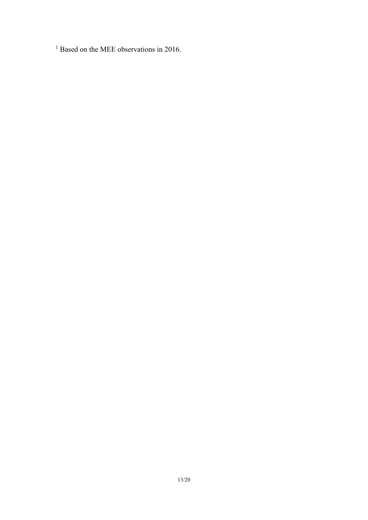<sup>1</sup> Based on the MEE observations in 2016.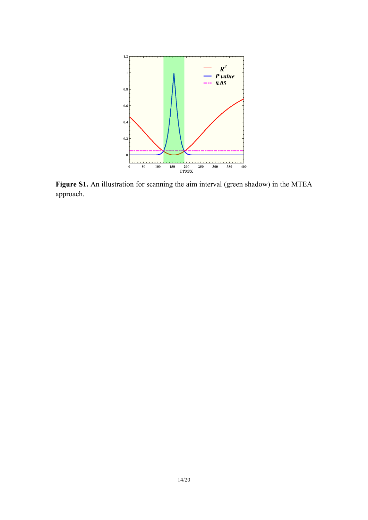

**Figure S1.** An illustration for scanning the aim interval (green shadow) in the MTEA approach.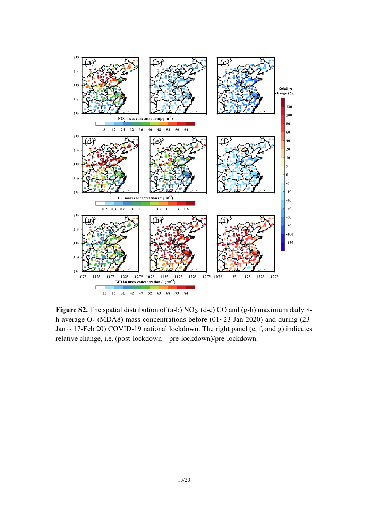

**Figure S2.** The spatial distribution of (a-b) NO<sub>2</sub>, (d-e) CO and (g-h) maximum daily 8h average O<sub>3</sub> (MDA8) mass concentrations before (01 $\sim$ 23 Jan 2020) and during (23-Jan  $\sim$  17-Feb 20) COVID-19 national lockdown. The right panel (c, f, and g) indicates relative change, i.e. (post-lockdown – pre-lockdown)/pre-lockdown.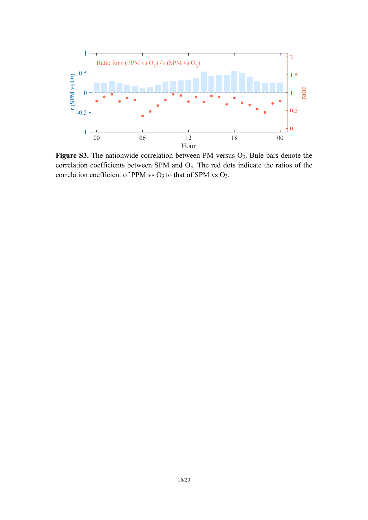

Figure S3. The nationwide correlation between PM versus O<sub>3</sub>. Bule bars denote the correlation coefficients between SPM and O3. The red dots indicate the ratios of the correlation coefficient of PPM vs O<sub>3</sub> to that of SPM vs O<sub>3</sub>.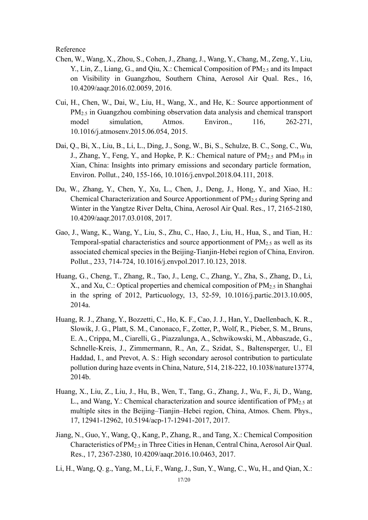Reference

- Chen, W., Wang, X., Zhou, S., Cohen, J., Zhang, J., Wang, Y., Chang, M., Zeng, Y., Liu, Y., Lin, Z., Liang, G., and Qiu, X.: Chemical Composition of PM<sub>2.5</sub> and its Impact on Visibility in Guangzhou, Southern China, Aerosol Air Qual. Res., 16, 10.4209/aaqr.2016.02.0059, 2016.
- Cui, H., Chen, W., Dai, W., Liu, H., Wang, X., and He, K.: Source apportionment of PM2.5 in Guangzhou combining observation data analysis and chemical transport model simulation, Atmos. Environ., 116, 262-271, 10.1016/j.atmosenv.2015.06.054, 2015.
- Dai, Q., Bi, X., Liu, B., Li, L., Ding, J., Song, W., Bi, S., Schulze, B. C., Song, C., Wu, J., Zhang, Y., Feng, Y., and Hopke, P. K.: Chemical nature of  $PM_{2.5}$  and  $PM_{10}$  in Xian, China: Insights into primary emissions and secondary particle formation, Environ. Pollut., 240, 155-166, 10.1016/j.envpol.2018.04.111, 2018.
- Du, W., Zhang, Y., Chen, Y., Xu, L., Chen, J., Deng, J., Hong, Y., and Xiao, H.: Chemical Characterization and Source Apportionment of PM2.5 during Spring and Winter in the Yangtze River Delta, China, Aerosol Air Qual. Res., 17, 2165-2180, 10.4209/aaqr.2017.03.0108, 2017.
- Gao, J., Wang, K., Wang, Y., Liu, S., Zhu, C., Hao, J., Liu, H., Hua, S., and Tian, H.: Temporal-spatial characteristics and source apportionment of  $PM<sub>2.5</sub>$  as well as its associated chemical species in the Beijing-Tianjin-Hebei region of China, Environ. Pollut., 233, 714-724, 10.1016/j.envpol.2017.10.123, 2018.
- Huang, G., Cheng, T., Zhang, R., Tao, J., Leng, C., Zhang, Y., Zha, S., Zhang, D., Li, X., and Xu, C.: Optical properties and chemical composition of  $PM_{2.5}$  in Shanghai in the spring of 2012, Particuology, 13, 52-59, 10.1016/j.partic.2013.10.005, 2014a.
- Huang, R. J., Zhang, Y., Bozzetti, C., Ho, K. F., Cao, J. J., Han, Y., Daellenbach, K. R., Slowik, J. G., Platt, S. M., Canonaco, F., Zotter, P., Wolf, R., Pieber, S. M., Bruns, E. A., Crippa, M., Ciarelli, G., Piazzalunga, A., Schwikowski, M., Abbaszade, G., Schnelle-Kreis, J., Zimmermann, R., An, Z., Szidat, S., Baltensperger, U., El Haddad, I., and Prevot, A. S.: High secondary aerosol contribution to particulate pollution during haze events in China, Nature, 514, 218-222, 10.1038/nature13774, 2014b.
- Huang, X., Liu, Z., Liu, J., Hu, B., Wen, T., Tang, G., Zhang, J., Wu, F., Ji, D., Wang, L., and Wang, Y.: Chemical characterization and source identification of  $PM_{2.5}$  at multiple sites in the Beijing–Tianjin–Hebei region, China, Atmos. Chem. Phys., 17, 12941-12962, 10.5194/acp-17-12941-2017, 2017.
- Jiang, N., Guo, Y., Wang, Q., Kang, P., Zhang, R., and Tang, X.: Chemical Composition Characteristics of PM2.5 in Three Cities in Henan, Central China, Aerosol Air Qual. Res., 17, 2367-2380, 10.4209/aaqr.2016.10.0463, 2017.
- Li, H., Wang, Q. g., Yang, M., Li, F., Wang, J., Sun, Y., Wang, C., Wu, H., and Qian, X.: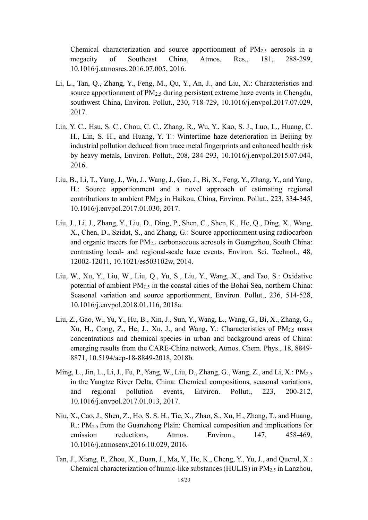Chemical characterization and source apportionment of  $PM<sub>2.5</sub>$  aerosols in a megacity of Southeast China, Atmos. Res., 181, 288-299, 10.1016/j.atmosres.2016.07.005, 2016.

- Li, L., Tan, Q., Zhang, Y., Feng, M., Qu, Y., An, J., and Liu, X.: Characteristics and source apportionment of  $PM_{2.5}$  during persistent extreme haze events in Chengdu, southwest China, Environ. Pollut., 230, 718-729, 10.1016/j.envpol.2017.07.029, 2017.
- Lin, Y. C., Hsu, S. C., Chou, C. C., Zhang, R., Wu, Y., Kao, S. J., Luo, L., Huang, C. H., Lin, S. H., and Huang, Y. T.: Wintertime haze deterioration in Beijing by industrial pollution deduced from trace metal fingerprints and enhanced health risk by heavy metals, Environ. Pollut., 208, 284-293, 10.1016/j.envpol.2015.07.044, 2016.
- Liu, B., Li, T., Yang, J., Wu, J., Wang, J., Gao, J., Bi, X., Feng, Y., Zhang, Y., and Yang, H.: Source apportionment and a novel approach of estimating regional contributions to ambient PM2.5 in Haikou, China, Environ. Pollut., 223, 334-345, 10.1016/j.envpol.2017.01.030, 2017.
- Liu, J., Li, J., Zhang, Y., Liu, D., Ding, P., Shen, C., Shen, K., He, Q., Ding, X., Wang, X., Chen, D., Szidat, S., and Zhang, G.: Source apportionment using radiocarbon and organic tracers for PM2.5 carbonaceous aerosols in Guangzhou, South China: contrasting local- and regional-scale haze events, Environ. Sci. Technol., 48, 12002-12011, 10.1021/es503102w, 2014.
- Liu, W., Xu, Y., Liu, W., Liu, Q., Yu, S., Liu, Y., Wang, X., and Tao, S.: Oxidative potential of ambient PM2.5 in the coastal cities of the Bohai Sea, northern China: Seasonal variation and source apportionment, Environ. Pollut., 236, 514-528, 10.1016/j.envpol.2018.01.116, 2018a.
- Liu, Z., Gao, W., Yu, Y., Hu, B., Xin, J., Sun, Y., Wang, L., Wang, G., Bi, X., Zhang, G., Xu, H., Cong, Z., He, J., Xu, J., and Wang, Y.: Characteristics of PM<sub>2.5</sub> mass concentrations and chemical species in urban and background areas of China: emerging results from the CARE-China network, Atmos. Chem. Phys., 18, 8849- 8871, 10.5194/acp-18-8849-2018, 2018b.
- Ming, L., Jin, L., Li, J., Fu, P., Yang, W., Liu, D., Zhang, G., Wang, Z., and Li, X.: PM2.5 in the Yangtze River Delta, China: Chemical compositions, seasonal variations, and regional pollution events, Environ. Pollut., 223, 200-212, 10.1016/j.envpol.2017.01.013, 2017.
- Niu, X., Cao, J., Shen, Z., Ho, S. S. H., Tie, X., Zhao, S., Xu, H., Zhang, T., and Huang, R.: PM2.5 from the Guanzhong Plain: Chemical composition and implications for emission reductions, Atmos. Environ., 147, 458-469, 10.1016/j.atmosenv.2016.10.029, 2016.
- Tan, J., Xiang, P., Zhou, X., Duan, J., Ma, Y., He, K., Cheng, Y., Yu, J., and Querol, X.: Chemical characterization of humic-like substances (HULIS) in PM2.5 in Lanzhou,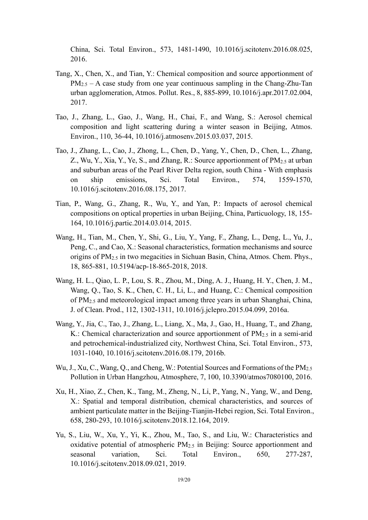China, Sci. Total Environ., 573, 1481-1490, 10.1016/j.scitotenv.2016.08.025, 2016.

- Tang, X., Chen, X., and Tian, Y.: Chemical composition and source apportionment of  $PM_{2.5}$  – A case study from one year continuous sampling in the Chang-Zhu-Tan urban agglomeration, Atmos. Pollut. Res., 8, 885-899, 10.1016/j.apr.2017.02.004, 2017.
- Tao, J., Zhang, L., Gao, J., Wang, H., Chai, F., and Wang, S.: Aerosol chemical composition and light scattering during a winter season in Beijing, Atmos. Environ., 110, 36-44, 10.1016/j.atmosenv.2015.03.037, 2015.
- Tao, J., Zhang, L., Cao, J., Zhong, L., Chen, D., Yang, Y., Chen, D., Chen, L., Zhang, Z., Wu, Y., Xia, Y., Ye, S., and Zhang, R.: Source apportionment of  $PM_{2.5}$  at urban and suburban areas of the Pearl River Delta region, south China - With emphasis on ship emissions, Sci. Total Environ., 574, 1559-1570, 10.1016/j.scitotenv.2016.08.175, 2017.
- Tian, P., Wang, G., Zhang, R., Wu, Y., and Yan, P.: Impacts of aerosol chemical compositions on optical properties in urban Beijing, China, Particuology, 18, 155- 164, 10.1016/j.partic.2014.03.014, 2015.
- Wang, H., Tian, M., Chen, Y., Shi, G., Liu, Y., Yang, F., Zhang, L., Deng, L., Yu, J., Peng, C., and Cao, X.: Seasonal characteristics, formation mechanisms and source origins of PM2.5 in two megacities in Sichuan Basin, China, Atmos. Chem. Phys., 18, 865-881, 10.5194/acp-18-865-2018, 2018.
- Wang, H. L., Qiao, L. P., Lou, S. R., Zhou, M., Ding, A. J., Huang, H. Y., Chen, J. M., Wang, Q., Tao, S. K., Chen, C. H., Li, L., and Huang, C.: Chemical composition of PM2.5 and meteorological impact among three years in urban Shanghai, China, J. of Clean. Prod., 112, 1302-1311, 10.1016/j.jclepro.2015.04.099, 2016a.
- Wang, Y., Jia, C., Tao, J., Zhang, L., Liang, X., Ma, J., Gao, H., Huang, T., and Zhang, K.: Chemical characterization and source apportionment of  $PM_{2.5}$  in a semi-arid and petrochemical-industrialized city, Northwest China, Sci. Total Environ., 573, 1031-1040, 10.1016/j.scitotenv.2016.08.179, 2016b.
- Wu, J., Xu, C., Wang, Q., and Cheng, W.: Potential Sources and Formations of the PM2.5 Pollution in Urban Hangzhou, Atmosphere, 7, 100, 10.3390/atmos7080100, 2016.
- Xu, H., Xiao, Z., Chen, K., Tang, M., Zheng, N., Li, P., Yang, N., Yang, W., and Deng, X.: Spatial and temporal distribution, chemical characteristics, and sources of ambient particulate matter in the Beijing-Tianjin-Hebei region, Sci. Total Environ., 658, 280-293, 10.1016/j.scitotenv.2018.12.164, 2019.
- Yu, S., Liu, W., Xu, Y., Yi, K., Zhou, M., Tao, S., and Liu, W.: Characteristics and oxidative potential of atmospheric PM2.5 in Beijing: Source apportionment and seasonal variation, Sci. Total Environ., 650, 277-287, 10.1016/j.scitotenv.2018.09.021, 2019.